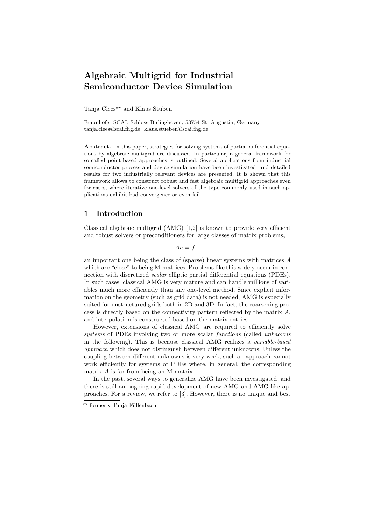# **Algebraic Multigrid for Industrial Semiconductor Device Simulation**

Tanja Clees<sup>\*\*</sup> and Klaus Stüben

Fraunhofer SCAI, Schloss Birlinghoven, 53754 St. Augustin, Germany tanja.clees@scai.fhg.de, klaus.stueben@scai.fhg.de

Abstract. In this paper, strategies for solving systems of partial differential equations by algebraic multigrid are discussed. In particular, a general framework for so-called point-based approaches is outlined. Several applications from industrial semiconductor process and device simulation have been investigated, and detailed results for two industrially relevant devices are presented. It is shown that this framework allows to construct robust and fast algebraic multigrid approaches even for cases, where iterative one-level solvers of the type commonly used in such applications exhibit bad convergence or even fail.

### **1 Introduction**

Classical algebraic multigrid (AMG) [1,2] is known to provide very efficient and robust solvers or preconditioners for large classes of matrix problems,

 $Au = f$ ,

an important one being the class of (sparse) linear systems with matrices A which are "close" to being M-matrices. Problems like this widely occur in connection with discretized *scalar* elliptic partial differential equations (PDEs). In such cases, classical AMG is very mature and can handle millions of variables much more efficiently than any one-level method. Since explicit information on the geometry (such as grid data) is not needed, AMG is especially suited for unstructured grids both in 2D and 3D. In fact, the coarsening process is directly based on the connectivity pattern reflected by the matrix A, and interpolation is constructed based on the matrix entries.

However, extensions of classical AMG are required to efficiently solve *systems* of PDEs involving two or more scalar *functions* (called *unknowns* in the following). This is because classical AMG realizes a *variable-based approach* which does not distinguish between different unknowns. Unless the coupling between different unknowns is very week, such an approach cannot work efficiently for systems of PDEs where, in general, the corresponding matrix A is far from being an M-matrix.

In the past, several ways to generalize AMG have been investigated, and there is still an ongoing rapid development of new AMG and AMG-like approaches. For a review, we refer to [3]. However, there is no unique and best

<sup>\*\*</sup> formerly Tanja Füllenbach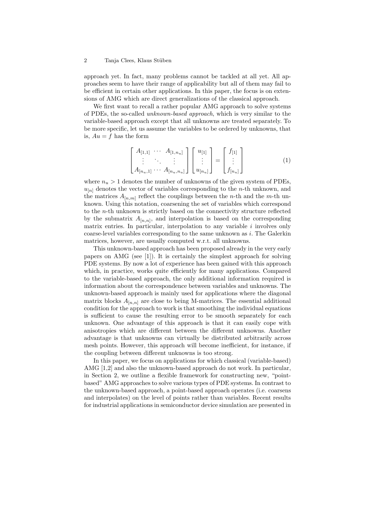approach yet. In fact, many problems cannot be tackled at all yet. All approaches seem to have their range of applicability but all of them may fail to be efficient in certain other applications. In this paper, the focus is on extensions of AMG which are direct generalizations of the classical approach.

We first want to recall a rather popular AMG approach to solve systems of PDEs, the so-called *unknown-based approach*, which is very similar to the variable-based approach except that all unknowns are treated separately. To be more specific, let us assume the variables to be ordered by unknowns, that is,  $Au = f$  has the form

$$
\begin{bmatrix} A_{[1,1]} & \cdots & A_{[1,n_u]} \\ \vdots & \ddots & \vdots \\ A_{[n_u,1]} & \cdots & A_{[n_u,n_u]} \end{bmatrix} \begin{bmatrix} u_{[1]} \\ \vdots \\ u_{[n_u]} \end{bmatrix} = \begin{bmatrix} f_{[1]} \\ \vdots \\ f_{[n_u]} \end{bmatrix}
$$
 (1)

where  $n_u > 1$  denotes the number of unknowns of the given system of PDEs.  $u_{[n]}$  denotes the vector of variables corresponding to the *n*-th unknown, and the matrices  $A_{[n,m]}$  reflect the couplings between the *n*-th and the *m*-th unknown. Using this notation, coarsening the set of variables which correspond to the n-th unknown is strictly based on the connectivity structure reflected by the submatrix  $A_{[n,n]}$ , and interpolation is based on the corresponding matrix entries. In particular, interpolation to any variable  $i$  involves only coarse-level variables corresponding to the same unknown as  $i$ . The Galerkin matrices, however, are usually computed w.r.t. all unknowns.

This unknown-based approach has been proposed already in the very early papers on AMG (see [1]). It is certainly the simplest approach for solving PDE systems. By now a lot of experience has been gained with this approach which, in practice, works quite efficiently for many applications. Compared to the variable-based approach, the only additional information required is information about the correspondence between variables and unknowns. The unknown-based approach is mainly used for applications where the diagonal matrix blocks  $A_{[n,n]}$  are close to being M-matrices. The essential additional condition for the approach to work is that smoothing the individual equations is sufficient to cause the resulting error to be smooth separately for each unknown. One advantage of this approach is that it can easily cope with anisotropies which are different between the different unknowns. Another advantage is that unknowns can virtually be distributed arbitrarily across mesh points. However, this approach will become inefficient, for instance, if the coupling between different unknowns is too strong.

In this paper, we focus on applications for which classical (variable-based) AMG [1,2] and also the unknown-based approach do not work. In particular, in Section 2, we outline a flexible framework for constructing new, "pointbased" AMG approaches to solve various types of PDE systems. In contrast to the unknown-based approach, a point-based approach operates (i.e. coarsens and interpolates) on the level of points rather than variables. Recent results for industrial applications in semiconductor device simulation are presented in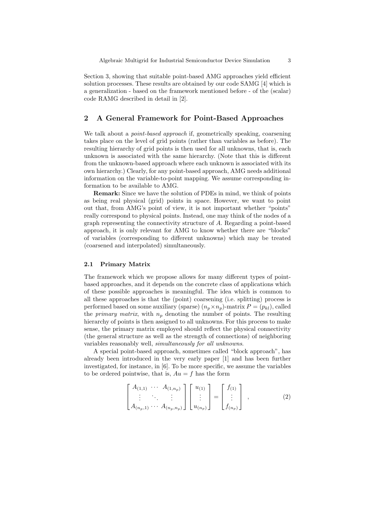Section 3, showing that suitable point-based AMG approaches yield efficient solution processes. These results are obtained by our code SAMG [4] which is a generalization - based on the framework mentioned before - of the (scalar) code RAMG described in detail in [2].

#### **2 A General Framework for Point-Based Approaches**

We talk about a *point-based approach* if, geometrically speaking, coarsening takes place on the level of grid points (rather than variables as before). The resulting hierarchy of grid points is then used for all unknowns, that is, each unknown is associated with the same hierarchy. (Note that this is different from the unknown-based approach where each unknown is associated with its own hierarchy.) Clearly, for any point-based approach, AMG needs additional information on the variable-to-point mapping. We assume corresponding information to be available to AMG.

**Remark:** Since we have the solution of PDEs in mind, we think of points as being real physical (grid) points in space. However, we want to point out that, from AMG's point of view, it is not important whether "points" really correspond to physical points. Instead, one may think of the nodes of a graph representing the connectivity structure of A. Regarding a point-based approach, it is only relevant for AMG to know whether there are "blocks" of variables (corresponding to different unknowns) which may be treated (coarsened and interpolated) simultaneously.

#### **2.1 Primary Matrix**

The framework which we propose allows for many different types of pointbased approaches, and it depends on the concrete class of applications which of these possible approaches is meaningful. The idea which is common to all these approaches is that the (point) coarsening (i.e. splitting) process is performed based on some auxiliary (sparse)  $(n_p \times n_p)$ -matrix  $P = (p_{kl})$ , called the *primary matrix*, with  $n_p$  denoting the number of points. The resulting hierarchy of points is then assigned to all unknowns. For this process to make sense, the primary matrix employed should reflect the physical connectivity (the general structure as well as the strength of connections) of neighboring variables reasonably well, *simultaneously for all unknowns*.

A special point-based approach, sometimes called "block approach", has already been introduced in the very early paper [1] and has been further investigated, for instance, in [6]. To be more specific, we assume the variables to be ordered pointwise, that is,  $Au = f$  has the form

$$
\begin{bmatrix}\nA_{(1,1)} & \cdots & A_{(1,n_p)} \\
\vdots & \ddots & \vdots \\
A_{(n_p,1)} & \cdots & A_{(n_p,n_p)}\n\end{bmatrix}\n\begin{bmatrix}\nu_{(1)} \\
\vdots \\
u_{(n_p)}\n\end{bmatrix} =\n\begin{bmatrix}\nf_{(1)} \\
\vdots \\
f_{(n_p)}\n\end{bmatrix},
$$
\n(2)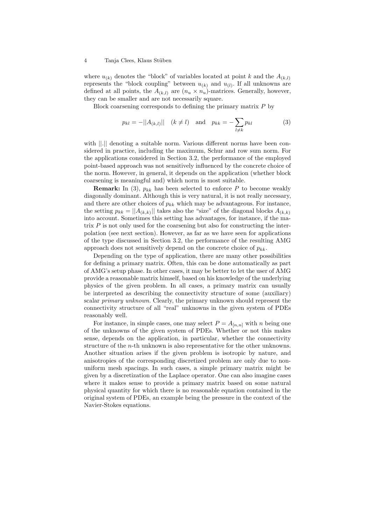where  $u_{(k)}$  denotes the "block" of variables located at point k and the  $A_{(k,l)}$ represents the "block coupling" between  $u_{(k)}$  and  $u_{(l)}$ . If all unknowns are defined at all points, the  $A_{(k,l)}$  are  $(n_u \times n_u)$ -matrices. Generally, however, they can be smaller and are not necessarily square.

Block coarsening corresponds to defining the primary matrix  $P$  by

$$
p_{kl} = -||A_{(k,l)}|| \quad (k \neq l) \quad \text{and} \quad p_{kk} = -\sum_{l \neq k} p_{kl} \tag{3}
$$

with  $\|.\|$  denoting a suitable norm. Various different norms have been considered in practice, including the maximum, Schur and row sum norm. For the applications considered in Section 3.2, the performance of the employed point-based approach was not sensitively influenced by the concrete choice of the norm. However, in general, it depends on the application (whether block coarsening is meaningful and) which norm is most suitable.

**Remark:** In (3),  $p_{kk}$  has been selected to enforce P to become weakly diagonally dominant. Although this is very natural, it is not really necessary, and there are other choices of  $p_{kk}$  which may be advantageous. For instance, the setting  $p_{kk} = ||A_{(k,k)}||$  takes also the "size" of the diagonal blocks  $A_{(k,k)}$ into account. Sometimes this setting has advantages, for instance, if the matrix  $P$  is not only used for the coarsening but also for constructing the interpolation (see next section). However, as far as we have seen for applications of the type discussed in Section 3.2, the performance of the resulting AMG approach does not sensitively depend on the concrete choice of  $p_{kk}$ .

Depending on the type of application, there are many other possibilities for defining a primary matrix. Often, this can be done automatically as part of AMG's setup phase. In other cases, it may be better to let the user of AMG provide a reasonable matrix himself, based on his knowledge of the underlying physics of the given problem. In all cases, a primary matrix can usually be interpreted as describing the connectivity structure of some (auxiliary) scalar *primary unknown*. Clearly, the primary unknown should represent the connectivity structure of all "real" unknowns in the given system of PDEs reasonably well.

For instance, in simple cases, one may select  $P = A_{[n,n]}$  with n being one of the unknowns of the given system of PDEs. Whether or not this makes sense, depends on the application, in particular, whether the connectivity structure of the  $n$ -th unknown is also representative for the other unknowns. Another situation arises if the given problem is isotropic by nature, and anisotropies of the corresponding discretized problem are only due to nonuniform mesh spacings. In such cases, a simple primary matrix might be given by a discretization of the Laplace operator. One can also imagine cases where it makes sense to provide a primary matrix based on some natural physical quantity for which there is no reasonable equation contained in the original system of PDEs, an example being the pressure in the context of the Navier-Stokes equations.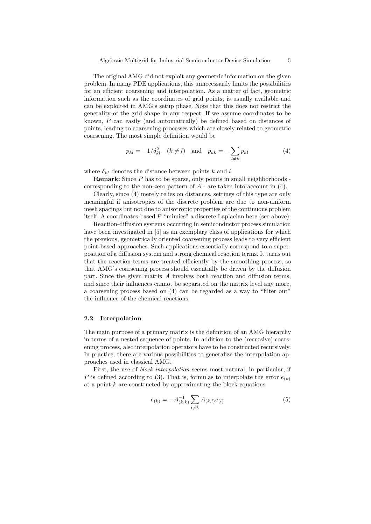The original AMG did not exploit any geometric information on the given problem. In many PDE applications, this unnecessarily limits the possibilities for an efficient coarsening and interpolation. As a matter of fact, geometric information such as the coordinates of grid points, is usually available and can be exploited in AMG's setup phase. Note that this does not restrict the generality of the grid shape in any respect. If we assume coordinates to be known, P can easily (and automatically) be defined based on distances of points, leading to coarsening processes which are closely related to geometric coarsening. The most simple definition would be

$$
p_{kl} = -1/\delta_{kl}^2 \quad (k \neq l) \quad \text{and} \quad p_{kk} = -\sum_{l \neq k} p_{kl} \tag{4}
$$

where  $\delta_{kl}$  denotes the distance between points k and l.

**Remark:** Since P has to be sparse, only points in small neighborhoods corresponding to the non-zero pattern of  $A$  - are taken into account in  $(4)$ .

Clearly, since (4) merely relies on distances, settings of this type are only meaningful if anisotropies of the discrete problem are due to non-uniform mesh spacings but not due to anisotropic properties of the continuous problem itself. A coordinates-based P "mimics" a discrete Laplacian here (see above).

Reaction-diffusion systems occurring in semiconductor process simulation have been investigated in [5] as an exemplary class of applications for which the previous, geometrically oriented coarsening process leads to very efficient point-based approaches. Such applications essentially correspond to a superposition of a diffusion system and strong chemical reaction terms. It turns out that the reaction terms are treated efficiently by the smoothing process, so that AMG's coarsening process should essentially be driven by the diffusion part. Since the given matrix A involves both reaction and diffusion terms, and since their influences cannot be separated on the matrix level any more, a coarsening process based on (4) can be regarded as a way to "filter out" the influence of the chemical reactions.

#### **2.2 Interpolation**

The main purpose of a primary matrix is the definition of an AMG hierarchy in terms of a nested sequence of points. In addition to the (recursive) coarsening process, also interpolation operators have to be constructed recursively. In practice, there are various possibilities to generalize the interpolation approaches used in classical AMG.

First, the use of *block interpolation* seems most natural, in particular, if P is defined according to (3). That is, formulas to interpolate the error  $e_{(k)}$ at a point  $k$  are constructed by approximating the block equations

$$
e_{(k)} = -A_{(k,k)}^{-1} \sum_{l \neq k} A_{(k,l)} e_{(l)}
$$
(5)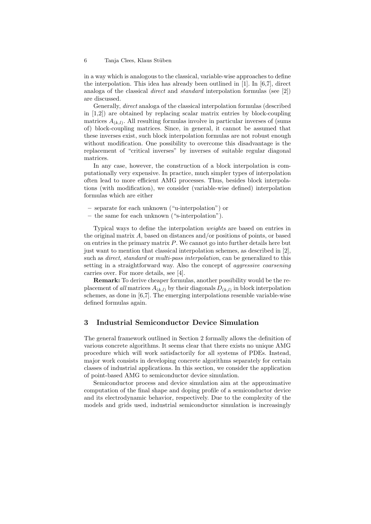in a way which is analogous to the classical, variable-wise approaches to define the interpolation. This idea has already been outlined in [1]. In [6,7], direct analoga of the classical *direct* and *standard* interpolation formulas (see [2]) are discussed.

Generally, *direct* analoga of the classical interpolation formulas (described in [1,2]) are obtained by replacing scalar matrix entries by block-coupling matrices  $A_{(k,l)}$ . All resulting formulas involve in particular inverses of (sums of) block-coupling matrices. Since, in general, it cannot be assumed that these inverses exist, such block interpolation formulas are not robust enough without modification. One possibility to overcome this disadvantage is the replacement of "critical inverses" by inverses of suitable regular diagonal matrices.

In any case, however, the construction of a block interpolation is computationally very expensive. In practice, much simpler types of interpolation often lead to more efficient AMG processes. Thus, besides block interpolations (with modification), we consider (variable-wise defined) interpolation formulas which are either

- **–** separate for each unknown ("u-interpolation") or
- **–** the same for each unknown ("s-interpolation").

Typical ways to define the interpolation *weights* are based on entries in the original matrix A, based on distances and/or positions of points, or based on entries in the primary matrix  $P$ . We cannot go into further details here but just want to mention that classical interpolation schemes, as described in [2], such as *direct*, *standard* or *multi-pass interpolation*, can be generalized to this setting in a straightforward way. Also the concept of *aggressive coarsening* carries over. For more details, see [4].

**Remark:** To derive cheaper formulas, another possibility would be the replacement of *all* matrices  $A_{(k,l)}$  by their diagonals  $D_{(k,l)}$  in block interpolation schemes, as done in [6,7]. The emerging interpolations resemble variable-wise defined formulas again.

# **3 Industrial Semiconductor Device Simulation**

The general framework outlined in Section 2 formally allows the definition of various concrete algorithms. It seems clear that there exists no unique AMG procedure which will work satisfactorily for all systems of PDEs. Instead, major work consists in developing concrete algorithms separately for certain classes of industrial applications. In this section, we consider the application of point-based AMG to semiconductor device simulation.

Semiconductor process and device simulation aim at the approximative computation of the final shape and doping profile of a semiconductor device and its electrodynamic behavior, respectively. Due to the complexity of the models and grids used, industrial semiconductor simulation is increasingly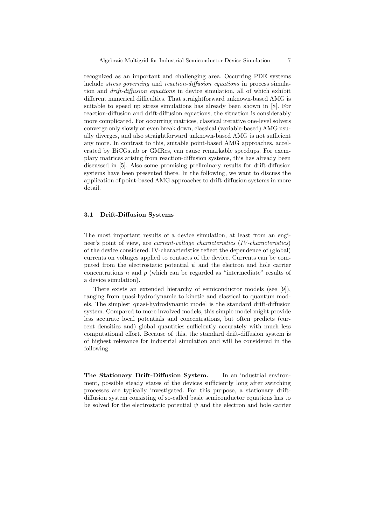recognized as an important and challenging area. Occurring PDE systems include *stress governing* and *reaction-diffusion equations* in process simulation and *drift-diffusion equations* in device simulation, all of which exhibit different numerical difficulties. That straightforward unknown-based AMG is suitable to speed up stress simulations has already been shown in [8]. For reaction-diffusion and drift-diffusion equations, the situation is considerably more complicated. For occurring matrices, classical iterative one-level solvers converge only slowly or even break down, classical (variable-based) AMG usually diverges, and also straightforward unknown-based AMG is not sufficient any more. In contrast to this, suitable point-based AMG approaches, accelerated by BiCGstab or GMRes, can cause remarkable speedups. For exemplary matrices arising from reaction-diffusion systems, this has already been discussed in [5]. Also some promising preliminary results for drift-diffusion systems have been presented there. In the following, we want to discuss the application of point-based AMG approaches to drift-diffusion systems in more detail.

#### **3.1 Drift-Diffusion Systems**

The most important results of a device simulation, at least from an engineer's point of view, are *current-voltage characteristics* (*IV-characteristics*) of the device considered. IV-characteristics reflect the dependence of (global) currents on voltages applied to contacts of the device. Currents can be computed from the electrostatic potential  $\psi$  and the electron and hole carrier concentrations  $n$  and  $p$  (which can be regarded as "intermediate" results of a device simulation).

There exists an extended hierarchy of semiconductor models (see [9]), ranging from quasi-hydrodynamic to kinetic and classical to quantum models. The simplest quasi-hydrodynamic model is the standard drift-diffusion system. Compared to more involved models, this simple model might provide less accurate local potentials and concentrations, but often predicts (current densities and) global quantities sufficiently accurately with much less computational effort. Because of this, the standard drift-diffusion system is of highest relevance for industrial simulation and will be considered in the following.

**The Stationary Drift-Diffusion System.** In an industrial environment, possible steady states of the devices sufficiently long after switching processes are typically investigated. For this purpose, a stationary driftdiffusion system consisting of so-called basic semiconductor equations has to be solved for the electrostatic potential  $\psi$  and the electron and hole carrier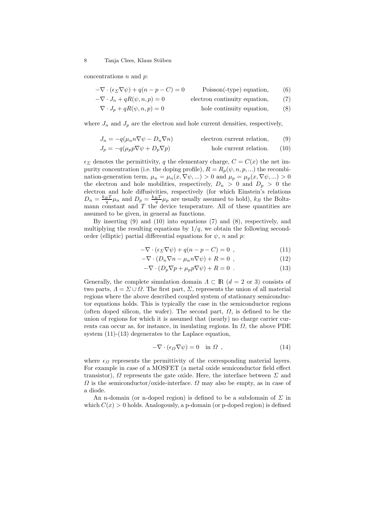concentrations  $n$  and  $p$ :

$$
-\nabla \cdot (\epsilon_{\Sigma} \nabla \psi) + q(n - p - C) = 0
$$
 Poisson(-type) equation, (6)  
-
$$
-\nabla \cdot J_n + qR(\psi, n, p) = 0
$$
 electron continuity equation, (7)

$$
\nabla \cdot J_p + qR(\psi, n, p) = 0
$$
 hole continuity equation, (8)

where  $J_n$  and  $J_p$  are the electron and hole current densities, respectively,

$$
J_n = -q(\mu_n n \nabla \psi - D_n \nabla n)
$$
 *electron current relation,* (9)

$$
J_p = -q(\mu_p p \nabla \psi + D_p \nabla p)
$$
 hole current relation. (10)

 $\epsilon_{\Sigma}$  denotes the permittivity, q the elementary charge,  $C = C(x)$  the net impurity concentration (i.e. the doping profile),  $R = R_p(\psi, n, p, ...)$  the recombination-generation term,  $\mu_n = \mu_n(x, \nabla \psi, ...) > 0$  and  $\mu_p = \mu_p(x, \nabla \psi, ...) > 0$ the electron and hole mobilities, respectively,  $D_n > 0$  and  $D_p > 0$  the electron and hole diffusivities, respectively (for which Einstein's relations  $D_n = \frac{k_B T}{q} \mu_n$  and  $D_p = \frac{k_B T}{q} \mu_p$  are usually assumed to hold),  $k_B$  the Boltzmann constant and  $T$  the device temperature. All of these quantities are assumed to be given, in general as functions.

By inserting (9) and (10) into equations (7) and (8), respectively, and multiplying the resulting equations by  $1/q$ , we obtain the following secondorder (elliptic) partial differential equations for  $\psi$ , n and p:

$$
-\nabla \cdot (\epsilon_{\Sigma} \nabla \psi) + q(n - p - C) = 0 , \qquad (11)
$$

$$
-\nabla \cdot (D_n \nabla n - \mu_n n \nabla \psi) + R = 0 , \qquad (12)
$$

$$
-\nabla \cdot (D_p \nabla p + \mu_p p \nabla \psi) + R = 0 . \qquad (13)
$$

Generally, the complete simulation domain  $\Lambda \subset \mathbb{R}$  ( $d = 2$  or 3) consists of two parts,  $\Lambda = \Sigma \cup \Omega$ . The first part,  $\Sigma$ , represents the union of all material regions where the above described coupled system of stationary semiconductor equations holds. This is typically the case in the semiconductor regions (often doped silicon, the wafer). The second part,  $\Omega$ , is defined to be the union of regions for which it is assumed that (nearly) no charge carrier currents can occur as, for instance, in insulating regions. In  $\Omega$ , the above PDE system (11)-(13) degenerates to the Laplace equation,

$$
-\nabla \cdot (\epsilon_{\Omega} \nabla \psi) = 0 \quad \text{in } \Omega \quad , \tag{14}
$$

where  $\epsilon_{\Omega}$  represents the permittivity of the corresponding material layers. For example in case of a MOSFET (a metal oxide semiconductor field effect transistor),  $\Omega$  represents the gate oxide. Here, the interface between  $\Sigma$  and  $\Omega$  is the semiconductor/oxide-interface.  $\Omega$  may also be empty, as in case of a diode.

An n-domain (or n-doped region) is defined to be a subdomain of  $\Sigma$  in which  $C(x) > 0$  holds. Analogously, a p-domain (or p-doped region) is defined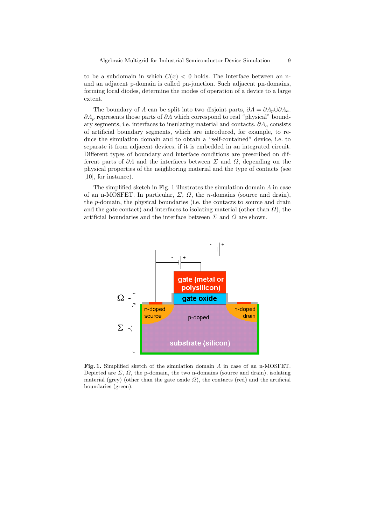to be a subdomain in which  $C(x) < 0$  holds. The interface between an nand an adjacent p-domain is called pn-junction. Such adjacent pn-domains, forming local diodes, determine the modes of operation of a device to a large extent.

The boundary of  $\Lambda$  can be split into two disjoint parts,  $\partial \Lambda = \partial \Lambda_p \dot{\cup} \partial \Lambda_a$ .  $\partial\Lambda_p$  represents those parts of  $\partial\Lambda$  which correspond to real "physical" boundary segments, i.e. interfaces to insulating material and contacts.  $\partial A_a$  consists of artificial boundary segments, which are introduced, for example, to reduce the simulation domain and to obtain a "self-contained" device, i.e. to separate it from adjacent devices, if it is embedded in an integrated circuit. Different types of boundary and interface conditions are prescribed on different parts of  $\partial\Lambda$  and the interfaces between  $\Sigma$  and  $\Omega$ , depending on the physical properties of the neighboring material and the type of contacts (see [10], for instance).

The simplified sketch in Fig. 1 illustrates the simulation domain  $\Lambda$  in case of an n-MOSFET. In particular,  $\Sigma$ ,  $\Omega$ , the *n*-domains (source and drain), the p-domain, the physical boundaries (i.e. the contacts to source and drain and the gate contact) and interfaces to isolating material (other than  $\Omega$ ), the artificial boundaries and the interface between  $\Sigma$  and  $\Omega$  are shown.



**Fig. 1.** Simplified sketch of the simulation domain <sup>Λ</sup> in case of an n-MOSFET. Depicted are  $\Sigma$ ,  $\Omega$ , the p-domain, the two n-domains (source and drain), isolating material (grey) (other than the gate oxide  $\Omega$ ), the contacts (red) and the artificial boundaries (green).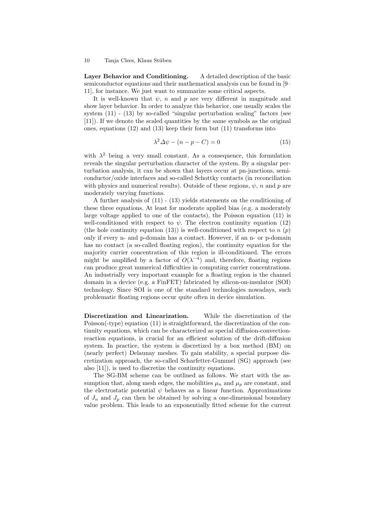**Layer Behavior and Conditioning.** A detailed description of the basic semiconductor equations and their mathematical analysis can be found in [9– 11], for instance. We just want to summarize some critical aspects.

It is well-known that  $\psi$ , n and p are very different in magnitude and show layer behavior. In order to analyze this behavior, one usually scales the system  $(11)$  -  $(13)$  by so-called "singular perturbation scaling" factors (see [11]). If we denote the scaled quantities by the same symbols as the original ones, equations (12) and (13) keep their form but (11) transforms into

$$
\lambda^2 \Delta \psi - (n - p - C) = 0 \tag{15}
$$

with  $\lambda^2$  being a very small constant. As a consequence, this formulation reveals the singular perturbation character of the system. By a singular perturbation analysis, it can be shown that layers occur at pn-junctions, semiconductor/oxide interfaces and so-called Schottky contacts (in reconciliation with physics and numerical results). Outside of these regions,  $\psi$ , n and p are moderately varying functions.

A further analysis of (11) - (13) yields statements on the conditioning of these three equations. At least for moderate applied bias (e.g. a moderately large voltage applied to one of the contacts), the Poisson equation (11) is well-conditioned with respect to  $\psi$ . The electron continuity equation (12) (the hole continuity equation (13)) is well-conditioned with respect to n  $(p)$ only if every n- and p-domain has a contact. However, if an n- or p-domain has no contact (a so-called floating region), the continuity equation for the majority carrier concentration of this region is ill-conditioned. The errors might be amplified by a factor of  $O(\lambda^{-4})$  and, therefore, floating regions can produce great numerical difficulties in computing carrier concentrations. An industrially very important example for a floating region is the channel domain in a device (e.g. a FinFET) fabricated by silicon-on-insulator (SOI) technology. Since SOI is one of the standard technologies nowadays, such problematic floating regions occur quite often in device simulation.

**Discretization and Linearization.** While the discretization of the Poisson(-type) equation (11) is straightforward, the discretization of the continuity equations, which can be characterized as special diffusion-convectionreaction equations, is crucial for an efficient solution of the drift-diffusion system. In practice, the system is discretized by a box method (BM) on (nearly perfect) Delaunay meshes. To gain stability, a special purpose discretization approach, the so-called Scharfetter-Gummel (SG) approach (see also [11]), is used to discretize the continuity equations.

The SG-BM scheme can be outlined as follows. We start with the assumption that, along mesh edges, the mobilities  $\mu_n$  and  $\mu_p$  are constant, and the electrostatic potential  $\psi$  behaves as a linear function. Approximations of  $J_n$  and  $J_p$  can then be obtained by solving a one-dimensional boundary value problem. This leads to an exponentially fitted scheme for the current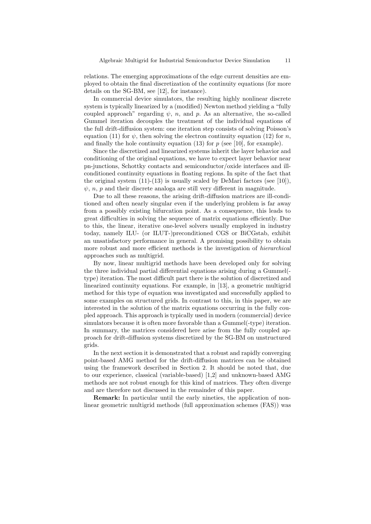relations. The emerging approximations of the edge current densities are employed to obtain the final discretization of the continuity equations (for more details on the SG-BM, see [12], for instance).

In commercial device simulators, the resulting highly nonlinear discrete system is typically linearized by a (modified) Newton method yielding a "fully coupled approach" regarding  $\psi$ , n, and p. As an alternative, the so-called Gummel iteration decouples the treatment of the individual equations of the full drift-diffusion system: one iteration step consists of solving Poisson's equation (11) for  $\psi$ , then solving the electron continuity equation (12) for n, and finally the hole continuity equation (13) for  $p$  (see [10], for example).

Since the discretized and linearized systems inherit the layer behavior and conditioning of the original equations, we have to expect layer behavior near pn-junctions, Schottky contacts and semiconductor/oxide interfaces and illconditioned continuity equations in floating regions. In spite of the fact that the original system  $(11)-(13)$  is usually scaled by DeMari factors (see [10]),  $\psi$ , *n*, *p* and their discrete analoga are still very different in magnitude.

Due to all these reasons, the arising drift-diffusion matrices are ill-conditioned and often nearly singular even if the underlying problem is far away from a possibly existing bifurcation point. As a consequence, this leads to great difficulties in solving the sequence of matrix equations efficiently. Due to this, the linear, iterative one-level solvers usually employed in industry today, namely ILU- (or ILUT-)preconditioned CGS or BiCGstab, exhibit an unsatisfactory performance in general. A promising possibility to obtain more robust and more efficient methods is the investigation of *hierarchical* approaches such as multigrid.

By now, linear multigrid methods have been developed only for solving the three individual partial differential equations arising during a Gummel( type) iteration. The most difficult part there is the solution of discretized and linearized continuity equations. For example, in [13], a geometric multigrid method for this type of equation was investigated and successfully applied to some examples on structured grids. In contrast to this, in this paper, we are interested in the solution of the matrix equations occurring in the fully coupled approach. This approach is typically used in modern (commercial) device simulators because it is often more favorable than a Gummel(-type) iteration. In summary, the matrices considered here arise from the fully coupled approach for drift-diffusion systems discretized by the SG-BM on unstructured grids.

In the next section it is demonstrated that a robust and rapidly converging point-based AMG method for the drift-diffusion matrices can be obtained using the framework described in Section 2. It should be noted that, due to our experience, classical (variable-based) [1,2] and unknown-based AMG methods are not robust enough for this kind of matrices. They often diverge and are therefore not discussed in the remainder of this paper.

**Remark:** In particular until the early nineties, the application of nonlinear geometric multigrid methods (full approximation schemes (FAS)) was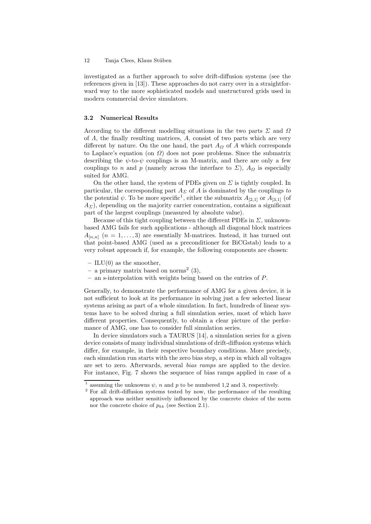investigated as a further approach to solve drift-diffusion systems (see the references given in [13]). These approaches do not carry over in a straightforward way to the more sophisticated models and unstructured grids used in modern commercial device simulators.

#### **3.2 Numerical Results**

According to the different modelling situations in the two parts  $\Sigma$  and  $\Omega$ of  $\Lambda$ , the finally resulting matrices,  $\Lambda$ , consist of two parts which are very different by nature. On the one hand, the part  $A_{\Omega}$  of A which corresponds to Laplace's equation (on  $\Omega$ ) does not pose problems. Since the submatrix describing the  $\psi$ -to- $\psi$  couplings is an M-matrix, and there are only a few couplings to n and p (namely across the interface to  $\Sigma$ ),  $A_{\Omega}$  is especially suited for AMG.

On the other hand, the system of PDEs given on  $\Sigma$  is tightly coupled. In particular, the corresponding part  $A_{\Sigma}$  of A is dominated by the couplings *to* the potential  $\psi$ . To be more specific<sup>1</sup>, either the submatrix  $A_{[2,1]}$  or  $A_{[3,1]}$  (of  $A_{\Sigma}$ ), depending on the majority carrier concentration, contains a significant part of the largest couplings (measured by absolute value).

Because of this tight coupling between the different PDEs in  $\Sigma$ , unknownbased AMG fails for such applications - although all diagonal block matrices  $A_{[n,n]}$   $(n = 1, \ldots, 3)$  are essentially M-matrices. Instead, it has turned out that point-based AMG (used as a preconditioner for BiCGstab) leads to a very robust approach if, for example, the following components are chosen:

- **–** ILU(0) as the smoother,
- **–** a primary matrix based on norms<sup>2</sup> (3),
- **–** an s-interpolation with weights being based on the entries of P.

Generally, to demonstrate the performance of AMG for a given device, it is not sufficient to look at its performance in solving just a few selected linear systems arising as part of a whole simulation. In fact, hundreds of linear systems have to be solved during a full simulation series, most of which have different properties. Consequently, to obtain a clear picture of the performance of AMG, one has to consider full simulation series.

In device simulators such a TAURUS [14], a simulation series for a given device consists of many individual simulations of drift-diffusion systems which differ, for example, in their respective boundary conditions. More precisely, each simulation run starts with the zero bias step, a step in which all voltages are set to zero. Afterwards, several *bias ramps* are applied to the device. For instance, Fig. 7 shows the sequence of bias ramps applied in case of a

<sup>&</sup>lt;sup>1</sup> assuming the unknowns  $\psi$ , *n* and *p* to be numbered 1,2 and 3, respectively.

<sup>2</sup> For all drift-diffusion systems tested by now, the performance of the resulting approach was neither sensitively influenced by the concrete choice of the norm nor the concrete choice of  $p_{kk}$  (see Section 2.1).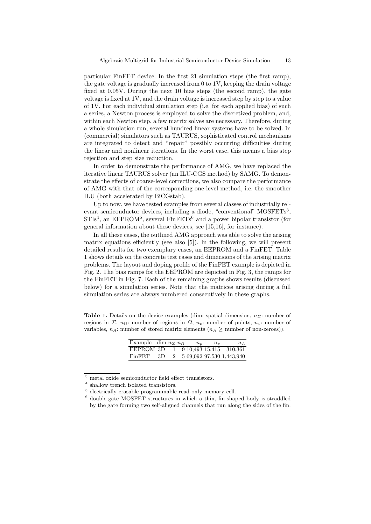particular FinFET device: In the first 21 simulation steps (the first ramp), the gate voltage is gradually increased from 0 to 1V, keeping the drain voltage fixed at 0.05V. During the next 10 bias steps (the second ramp), the gate voltage is fixed at 1V, and the drain voltage is increased step by step to a value of 1V. For each individual simulation step (i.e. for each applied bias) of such a series, a Newton process is employed to solve the discretized problem, and, within each Newton step, a few matrix solves are necessary. Therefore, during a whole simulation run, several hundred linear systems have to be solved. In (commercial) simulators such as TAURUS, sophisticated control mechanisms are integrated to detect and "repair" possibly occurring difficulties during the linear and nonlinear iterations. In the worst case, this means a bias step rejection and step size reduction.

In order to demonstrate the performance of AMG, we have replaced the iterative linear TAURUS solver (an ILU-CGS method) by SAMG. To demonstrate the effects of coarse-level corrections, we also compare the performance of AMG with that of the corresponding one-level method, i.e. the smoother ILU (both accelerated by BiCGstab).

Up to now, we have tested examples from several classes of industrially relevant semiconductor devices, including a diode, "conventional" MOSFETs<sup>3</sup>,  $STIs<sup>4</sup>$ , an EEPROM<sup>5</sup>, several FinFETs<sup>6</sup> and a power bipolar transistor (for general information about these devices, see [15,16], for instance).

In all these cases, the outlined AMG approach was able to solve the arising matrix equations efficiently (see also [5]). In the following, we will present detailed results for two exemplary cases, an EEPROM and a FinFET. Table 1 shows details on the concrete test cases and dimensions of the arising matrix problems. The layout and doping profile of the FinFET example is depicted in Fig. 2. The bias ramps for the EEPROM are depicted in Fig. 3, the ramps for the FinFET in Fig. 7. Each of the remaining graphs shows results (discussed below) for a simulation series. Note that the matrices arising during a full simulation series are always numbered consecutively in these graphs.

**Table 1.** Details on the device examples (dim: spatial dimension,  $n_{\Sigma}$ : number of regions in  $\Sigma$ ,  $n_{\Omega}$ : number of regions in  $\Omega$ ,  $n_p$ : number of points,  $n_v$ : number of variables,  $n_A$ : number of stored matrix elements  $(n_A \geq$  number of non-zeroes).

| Example dim $n_{\Sigma}$ $n_{\Omega}$ |      |                | $n_{\boldsymbol{n}}$ | $n_{v}$ | $n_A$                     |
|---------------------------------------|------|----------------|----------------------|---------|---------------------------|
| EEPROM 3D                             |      |                |                      |         | 9 10,493 15,415 310,361   |
| FinFET                                | -3D- | $\overline{2}$ |                      |         | 5 69,092 97,530 1,443,940 |

<sup>3</sup> metal oxide semiconductor field effect transistors.

<sup>4</sup> shallow trench isolated transistors.

<sup>5</sup> electrically erasable programmable read-only memory cell.

<sup>6</sup> double-gate MOSFET structures in which a thin, fin-shaped body is straddled by the gate forming two self-aligned channels that run along the sides of the fin.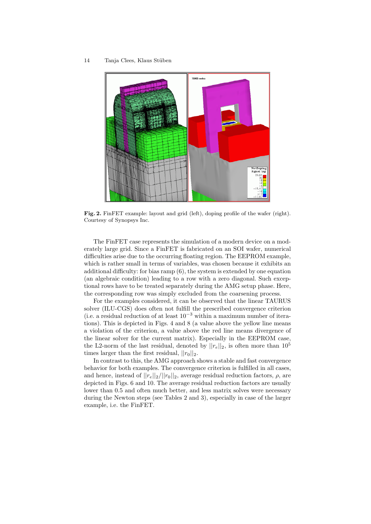

**Fig. 2.** FinFET example: layout and grid (left), doping profile of the wafer (right). Courtesy of Synopsys Inc.

The FinFET case represents the simulation of a modern device on a moderately large grid. Since a FinFET is fabricated on an SOI wafer, numerical difficulties arise due to the occurring floating region. The EEPROM example, which is rather small in terms of variables, was chosen because it exhibits an additional difficulty: for bias ramp (6), the system is extended by one equation (an algebraic condition) leading to a row with a zero diagonal. Such exceptional rows have to be treated separately during the AMG setup phase. Here, the corresponding row was simply excluded from the coarsening process.

For the examples considered, it can be observed that the linear TAURUS solver (ILU-CGS) does often not fulfill the prescribed convergence criterion (i.e. a residual reduction of at least  $10^{-3}$  within a maximum number of iterations). This is depicted in Figs. 4 and 8 (a value above the yellow line means a violation of the criterion, a value above the red line means divergence of the linear solver for the current matrix). Especially in the EEPROM case, the L2-norm of the last residual, denoted by  $||r_e||_2$ , is often more than  $10^5$ times larger than the first residual,  $||r_0||_2$ .

In contrast to this, the AMG approach shows a stable and fast convergence behavior for both examples. The convergence criterion is fulfilled in all cases, and hence, instead of  $||r_e||_2/||r_0||_2$ , average residual reduction factors,  $\rho$ , are depicted in Figs. 6 and 10. The average residual reduction factors are usually lower than 0.5 and often much better, and less matrix solves were necessary during the Newton steps (see Tables 2 and 3), especially in case of the larger example, i.e. the FinFET.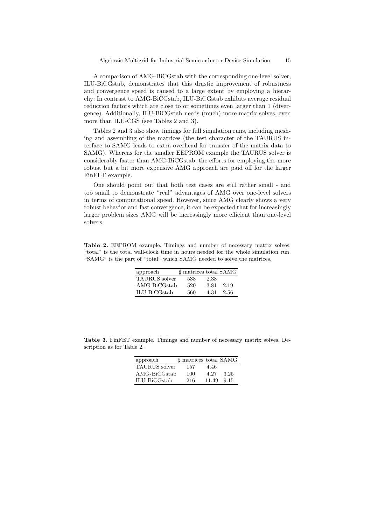A comparison of AMG-BiCGstab with the corresponding one-level solver, ILU-BiCGstab, demonstrates that this drastic improvement of robustness and convergence speed is caused to a large extent by employing a hierarchy: In contrast to AMG-BiCGstab, ILU-BiCGstab exhibits average residual reduction factors which are close to or sometimes even larger than 1 (divergence). Additionally, ILU-BiCGstab needs (much) more matrix solves, even more than ILU-CGS (see Tables 2 and 3).

Tables 2 and 3 also show timings for full simulation runs, including meshing and assembling of the matrices (the test character of the TAURUS interface to SAMG leads to extra overhead for transfer of the matrix data to SAMG). Whereas for the smaller EEPROM example the TAURUS solver is considerably faster than AMG-BiCGstab, the efforts for employing the more robust but a bit more expensive AMG approach are paid off for the larger FinFET example.

One should point out that both test cases are still rather small - and too small to demonstrate "real" advantages of AMG over one-level solvers in terms of computational speed. However, since AMG clearly shows a very robust behavior and fast convergence, it can be expected that for increasingly larger problem sizes AMG will be increasingly more efficient than one-level solvers.

**Table 2.** EEPROM example. Timings and number of necessary matrix solves. "total" is the total wall-clock time in hours needed for the whole simulation run. "SAMG" is the part of "total" which SAMG needed to solve the matrices.

| approach             | $\sharp$ matrices total SAMG |      |       |
|----------------------|------------------------------|------|-------|
| <b>TAURUS</b> solver | 538                          | 2.38 |       |
| $AMG-BiCGstab$       | 520                          | 3.81 | 2.19  |
| ILU-BiCGstab         | 560                          | 4.31 | -2.56 |

**Table 3.** FinFET example. Timings and number of necessary matrix solves. Description as for Table 2.

| approach             | $\sharp$ matrices total SAMG |       |      |
|----------------------|------------------------------|-------|------|
| <b>TAURUS</b> solver | 157                          | 4.46  |      |
| $AMG-BiCGstab$       | 100                          | 4.27  | 3.25 |
| ILU-BiCGstab         | 216                          | 11.49 | 9.15 |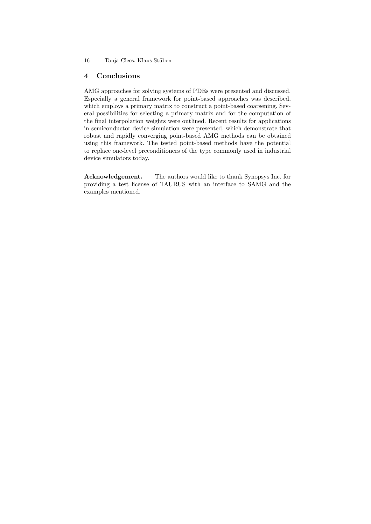## **4 Conclusions**

AMG approaches for solving systems of PDEs were presented and discussed. Especially a general framework for point-based approaches was described, which employs a primary matrix to construct a point-based coarsening. Several possibilities for selecting a primary matrix and for the computation of the final interpolation weights were outlined. Recent results for applications in semiconductor device simulation were presented, which demonstrate that robust and rapidly converging point-based AMG methods can be obtained using this framework. The tested point-based methods have the potential to replace one-level preconditioners of the type commonly used in industrial device simulators today.

**Acknowledgement.** The authors would like to thank Synopsys Inc. for providing a test license of TAURUS with an interface to SAMG and the examples mentioned.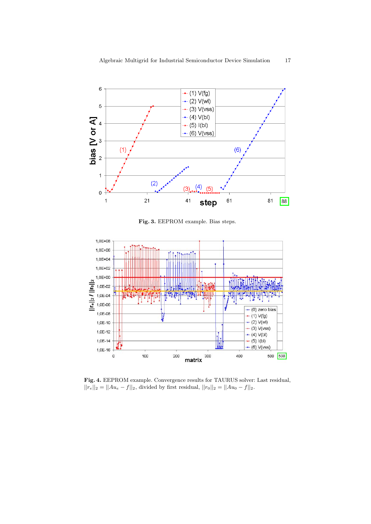

**Fig. 3.** EEPROM example. Bias steps.



**Fig. 4.** EEPROM example. Convergence results for TAURUS solver: Last residual,  $||r_e||_2 = ||Au_e - f||_2$ , divided by first residual,  $||r_0||_2 = ||Au_0 - f||_2$ .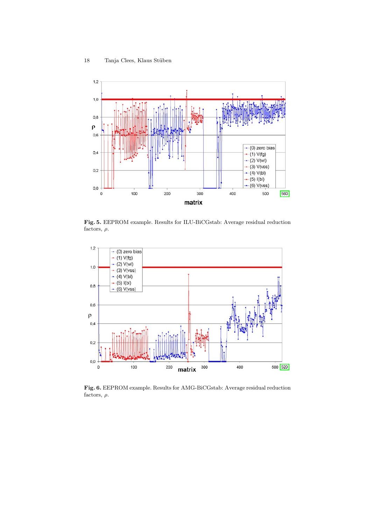

**Fig. 5.** EEPROM example. Results for ILU-BiCGstab: Average residual reduction factors,  $\rho$ .



**Fig. 6.** EEPROM example. Results for AMG-BiCGstab: Average residual reduction factors,  $\rho.$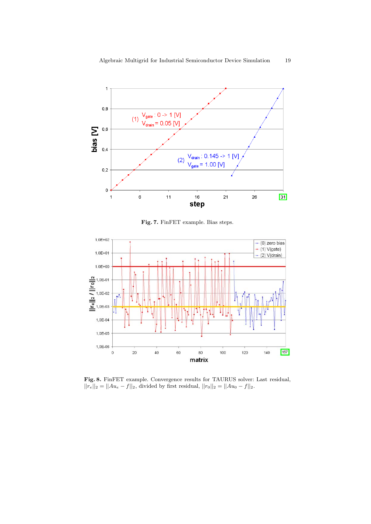

**Fig. 7.** FinFET example. Bias steps.



**Fig. 8.** FinFET example. Convergence results for TAURUS solver: Last residual,  $||r_e||_2 = ||Au_e - f||_2$ , divided by first residual,  $||r_0||_2 = ||Au_0 - f||_2$ .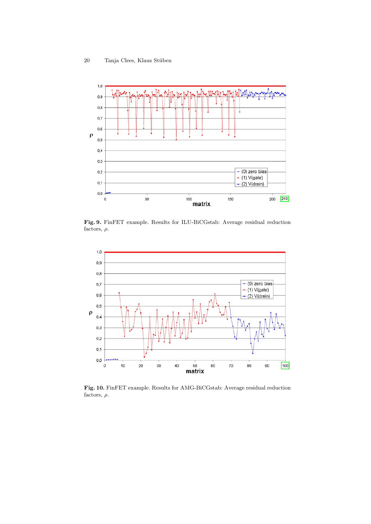

**Fig. 9.** FinFET example. Results for ILU-BiCGstab: Average residual reduction factors,  $\rho$ .



**Fig. 10.** FinFET example. Results for AMG-BiCGstab: Average residual reduction factors,  $\rho$ .